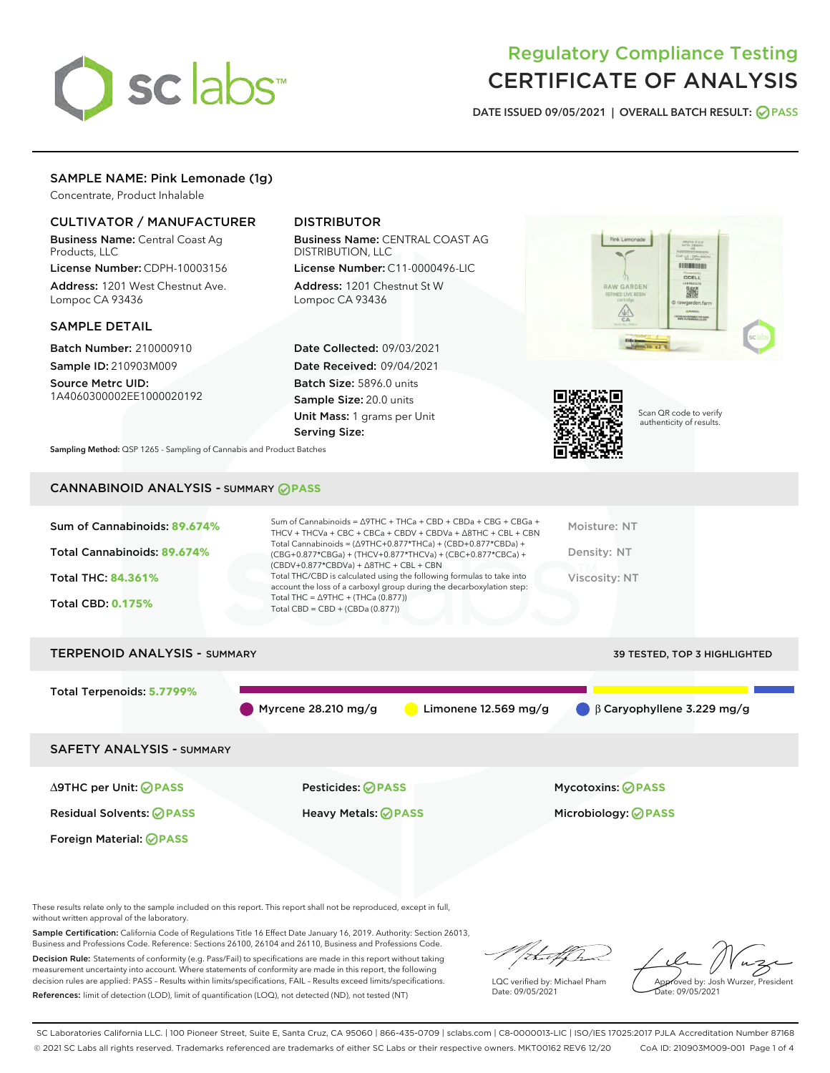

## Regulatory Compliance Testing CERTIFICATE OF ANALYSIS

DATE ISSUED 09/05/2021 | OVERALL BATCH RESULT: @ PASS

## SAMPLE NAME: Pink Lemonade (1g)

Concentrate, Product Inhalable

## CULTIVATOR / MANUFACTURER

Business Name: Central Coast Ag Products, LLC

License Number: CDPH-10003156 Address: 1201 West Chestnut Ave. Lompoc CA 93436

#### SAMPLE DETAIL

Batch Number: 210000910 Sample ID: 210903M009

Source Metrc UID: 1A4060300002EE1000020192

Foreign Material: **PASS**

## DISTRIBUTOR

Business Name: CENTRAL COAST AG DISTRIBUTION, LLC License Number: C11-0000496-LIC

Address: 1201 Chestnut St W Lompoc CA 93436

Date Collected: 09/03/2021 Date Received: 09/04/2021 Batch Size: 5896.0 units Sample Size: 20.0 units Unit Mass: 1 grams per Unit Serving Size:





Scan QR code to verify authenticity of results.

Sampling Method: QSP 1265 - Sampling of Cannabis and Product Batches

## CANNABINOID ANALYSIS - SUMMARY **PASS**

| Total Cannabinoids = $(\Delta$ 9THC+0.877*THCa) + (CBD+0.877*CBDa) +<br>Total Cannabinoids: 89.674%<br>Density: NT<br>(CBG+0.877*CBGa) + (THCV+0.877*THCVa) + (CBC+0.877*CBCa) +<br>$(CBDV+0.877*CBDVa) + \Delta 8THC + CBL + CBN$<br>Total THC/CBD is calculated using the following formulas to take into<br><b>Total THC: 84.361%</b><br>Viscosity: NT<br>account the loss of a carboxyl group during the decarboxylation step:<br>Total THC = $\triangle$ 9THC + (THCa (0.877))<br><b>Total CBD: 0.175%</b><br>Total CBD = $CBD + (CBDa (0.877))$ | Sum of Cannabinoids: 89.674% | Sum of Cannabinoids = $\triangle$ 9THC + THCa + CBD + CBDa + CBG + CBGa +<br>THCV + THCVa + CBC + CBCa + CBDV + CBDVa + $\Delta$ 8THC + CBL + CBN | Moisture: NT |
|-------------------------------------------------------------------------------------------------------------------------------------------------------------------------------------------------------------------------------------------------------------------------------------------------------------------------------------------------------------------------------------------------------------------------------------------------------------------------------------------------------------------------------------------------------|------------------------------|---------------------------------------------------------------------------------------------------------------------------------------------------|--------------|
|                                                                                                                                                                                                                                                                                                                                                                                                                                                                                                                                                       |                              |                                                                                                                                                   |              |
|                                                                                                                                                                                                                                                                                                                                                                                                                                                                                                                                                       |                              |                                                                                                                                                   |              |
|                                                                                                                                                                                                                                                                                                                                                                                                                                                                                                                                                       |                              |                                                                                                                                                   |              |

# TERPENOID ANALYSIS - SUMMARY 39 TESTED, TOP 3 HIGHLIGHTED Total Terpenoids: **5.7799%** Myrcene 28.210 mg/g  $\bigcirc$  Limonene 12.569 mg/g  $\bigcirc$  β Caryophyllene 3.229 mg/g SAFETY ANALYSIS - SUMMARY ∆9THC per Unit: **PASS** Pesticides: **PASS** Mycotoxins: **PASS**

Residual Solvents: **PASS** Heavy Metals: **PASS** Microbiology: **PASS**

These results relate only to the sample included on this report. This report shall not be reproduced, except in full, without written approval of the laboratory.

Sample Certification: California Code of Regulations Title 16 Effect Date January 16, 2019. Authority: Section 26013, Business and Professions Code. Reference: Sections 26100, 26104 and 26110, Business and Professions Code.

Decision Rule: Statements of conformity (e.g. Pass/Fail) to specifications are made in this report without taking measurement uncertainty into account. Where statements of conformity are made in this report, the following decision rules are applied: PASS – Results within limits/specifications, FAIL – Results exceed limits/specifications. References: limit of detection (LOD), limit of quantification (LOQ), not detected (ND), not tested (NT)

that for

LQC verified by: Michael Pham Date: 09/05/2021

Approved by: Josh Wurzer, President Date: 09/05/2021

SC Laboratories California LLC. | 100 Pioneer Street, Suite E, Santa Cruz, CA 95060 | 866-435-0709 | sclabs.com | C8-0000013-LIC | ISO/IES 17025:2017 PJLA Accreditation Number 87168 © 2021 SC Labs all rights reserved. Trademarks referenced are trademarks of either SC Labs or their respective owners. MKT00162 REV6 12/20 CoA ID: 210903M009-001 Page 1 of 4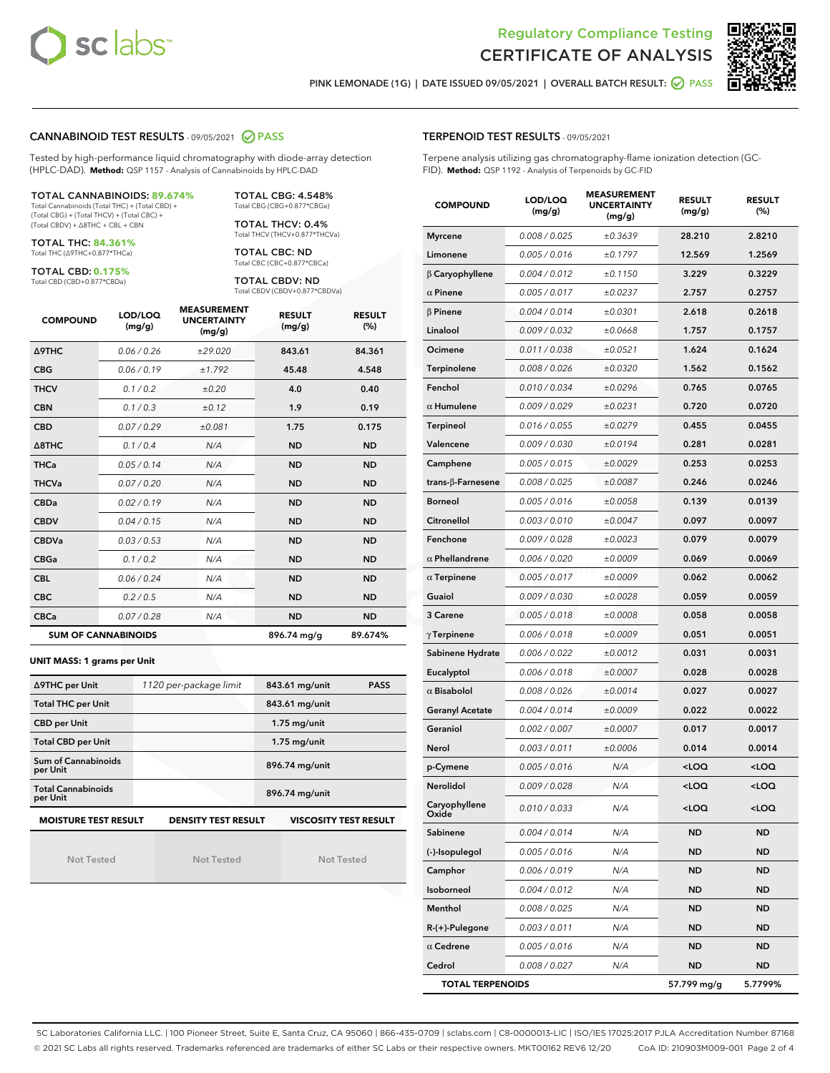



PINK LEMONADE (1G) | DATE ISSUED 09/05/2021 | OVERALL BATCH RESULT: 2 PASS

#### CANNABINOID TEST RESULTS - 09/05/2021 2 PASS

Tested by high-performance liquid chromatography with diode-array detection (HPLC-DAD). **Method:** QSP 1157 - Analysis of Cannabinoids by HPLC-DAD

#### TOTAL CANNABINOIDS: **89.674%**

Total Cannabinoids (Total THC) + (Total CBD) + (Total CBG) + (Total THCV) + (Total CBC) + (Total CBDV) + ∆8THC + CBL + CBN

TOTAL THC: **84.361%** Total THC (∆9THC+0.877\*THCa)

TOTAL CBD: **0.175%**

Total CBD (CBD+0.877\*CBDa)

TOTAL CBG: 4.548% Total CBG (CBG+0.877\*CBGa)

TOTAL THCV: 0.4% Total THCV (THCV+0.877\*THCVa)

TOTAL CBC: ND Total CBC (CBC+0.877\*CBCa)

TOTAL CBDV: ND Total CBDV (CBDV+0.877\*CBDVa)

| <b>COMPOUND</b>  | LOD/LOQ<br>(mg/g)          | <b>MEASUREMENT</b><br><b>UNCERTAINTY</b><br>(mg/g) | <b>RESULT</b><br>(mg/g) | <b>RESULT</b><br>(%) |
|------------------|----------------------------|----------------------------------------------------|-------------------------|----------------------|
| <b>A9THC</b>     | 0.06 / 0.26                | ±29.020                                            | 843.61                  | 84.361               |
| <b>CBG</b>       | 0.06 / 0.19                | ±1.792                                             | 45.48                   | 4.548                |
| <b>THCV</b>      | 0.1 / 0.2                  | ±0.20                                              | 4.0                     | 0.40                 |
| <b>CBN</b>       | 0.1/0.3                    | ±0.12                                              | 1.9                     | 0.19                 |
| <b>CBD</b>       | 0.07/0.29                  | ±0.081                                             | 1.75                    | 0.175                |
| $\triangle$ 8THC | 0.1/0.4                    | N/A                                                | <b>ND</b>               | <b>ND</b>            |
| <b>THCa</b>      | 0.05/0.14                  | N/A                                                | <b>ND</b>               | <b>ND</b>            |
| <b>THCVa</b>     | 0.07/0.20                  | N/A                                                | <b>ND</b>               | <b>ND</b>            |
| <b>CBDa</b>      | 0.02/0.19                  | N/A                                                | <b>ND</b>               | <b>ND</b>            |
| <b>CBDV</b>      | 0.04/0.15                  | N/A                                                | <b>ND</b>               | <b>ND</b>            |
| <b>CBDVa</b>     | 0.03/0.53                  | N/A                                                | <b>ND</b>               | <b>ND</b>            |
| <b>CBGa</b>      | 0.1/0.2                    | N/A                                                | <b>ND</b>               | <b>ND</b>            |
| <b>CBL</b>       | 0.06 / 0.24                | N/A                                                | <b>ND</b>               | <b>ND</b>            |
| <b>CBC</b>       | 0.2 / 0.5                  | N/A                                                | <b>ND</b>               | <b>ND</b>            |
| <b>CBCa</b>      | 0.07 / 0.28                | N/A                                                | <b>ND</b>               | <b>ND</b>            |
|                  | <b>SUM OF CANNABINOIDS</b> |                                                    | 896.74 mg/g             | 89.674%              |

#### **UNIT MASS: 1 grams per Unit**

| ∆9THC per Unit                                                                            | 1120 per-package limit | 843.61 mg/unit<br><b>PASS</b> |  |  |  |
|-------------------------------------------------------------------------------------------|------------------------|-------------------------------|--|--|--|
| <b>Total THC per Unit</b>                                                                 |                        | 843.61 mg/unit                |  |  |  |
| <b>CBD per Unit</b>                                                                       |                        | $1.75$ mg/unit                |  |  |  |
| <b>Total CBD per Unit</b>                                                                 |                        | $1.75$ mg/unit                |  |  |  |
| Sum of Cannabinoids<br>per Unit                                                           |                        | 896.74 mg/unit                |  |  |  |
| <b>Total Cannabinoids</b><br>per Unit                                                     |                        | 896.74 mg/unit                |  |  |  |
| <b>MOISTURE TEST RESULT</b><br><b>DENSITY TEST RESULT</b><br><b>VISCOSITY TEST RESULT</b> |                        |                               |  |  |  |

Not Tested

Not Tested

Not Tested

#### TERPENOID TEST RESULTS - 09/05/2021

Terpene analysis utilizing gas chromatography-flame ionization detection (GC-FID). **Method:** QSP 1192 - Analysis of Terpenoids by GC-FID

| <b>COMPOUND</b>          | LOD/LOQ<br>(mg/g) | <b>MEASUREMENT</b><br><b>UNCERTAINTY</b><br>(mg/g) | <b>RESULT</b><br>(mg/g)                         | <b>RESULT</b><br>(%) |
|--------------------------|-------------------|----------------------------------------------------|-------------------------------------------------|----------------------|
| <b>Myrcene</b>           | 0.008 / 0.025     | ±0.3639                                            | 28.210                                          | 2.8210               |
| Limonene                 | 0.005 / 0.016     | ±0.1797                                            | 12.569                                          | 1.2569               |
| $\beta$ Caryophyllene    | 0.004 / 0.012     | ±0.1150                                            | 3.229                                           | 0.3229               |
| $\alpha$ Pinene          | 0.005 / 0.017     | ±0.0237                                            | 2.757                                           | 0.2757               |
| $\beta$ Pinene           | 0.004 / 0.014     | ±0.0301                                            | 2.618                                           | 0.2618               |
| Linalool                 | 0.009/0.032       | ±0.0668                                            | 1.757                                           | 0.1757               |
| Ocimene                  | 0.011 / 0.038     | ±0.0521                                            | 1.624                                           | 0.1624               |
| Terpinolene              | 0.008 / 0.026     | ±0.0320                                            | 1.562                                           | 0.1562               |
| Fenchol                  | 0.010 / 0.034     | ±0.0296                                            | 0.765                                           | 0.0765               |
| $\alpha$ Humulene        | 0.009 / 0.029     | ±0.0231                                            | 0.720                                           | 0.0720               |
| Terpineol                | 0.016 / 0.055     | ±0.0279                                            | 0.455                                           | 0.0455               |
| Valencene                | 0.009 / 0.030     | ±0.0194                                            | 0.281                                           | 0.0281               |
| Camphene                 | 0.005 / 0.015     | ±0.0029                                            | 0.253                                           | 0.0253               |
| $trans-\beta$ -Farnesene | 0.008 / 0.025     | ±0.0087                                            | 0.246                                           | 0.0246               |
| <b>Borneol</b>           | 0.005 / 0.016     | ±0.0058                                            | 0.139                                           | 0.0139               |
| Citronellol              | 0.003 / 0.010     | ±0.0047                                            | 0.097                                           | 0.0097               |
| Fenchone                 | 0.009 / 0.028     | ±0.0023                                            | 0.079                                           | 0.0079               |
| $\alpha$ Phellandrene    | 0.006 / 0.020     | ±0.0009                                            | 0.069                                           | 0.0069               |
| $\alpha$ Terpinene       | 0.005 / 0.017     | ±0.0009                                            | 0.062                                           | 0.0062               |
| Guaiol                   | 0.009 / 0.030     | ±0.0028                                            | 0.059                                           | 0.0059               |
| 3 Carene                 | 0.005 / 0.018     | ±0.0008                                            | 0.058                                           | 0.0058               |
| $\gamma$ Terpinene       | 0.006 / 0.018     | ±0.0009                                            | 0.051                                           | 0.0051               |
| Sabinene Hydrate         | 0.006 / 0.022     | ±0.0012                                            | 0.031                                           | 0.0031               |
| Eucalyptol               | 0.006 / 0.018     | ±0.0007                                            | 0.028                                           | 0.0028               |
| $\alpha$ Bisabolol       | 0.008 / 0.026     | ±0.0014                                            | 0.027                                           | 0.0027               |
| <b>Geranyl Acetate</b>   | 0.004 / 0.014     | ±0.0009                                            | 0.022                                           | 0.0022               |
| Geraniol                 | 0.002 / 0.007     | ±0.0007                                            | 0.017                                           | 0.0017               |
| Nerol                    | 0.003 / 0.011     | ±0.0006                                            | 0.014                                           | 0.0014               |
| p-Cymene                 | 0.005 / 0.016     | N/A                                                | <loq< th=""><th><loq< th=""></loq<></th></loq<> | <loq< th=""></loq<>  |
| <b>Nerolidol</b>         | 0.009 / 0.028     | N/A                                                | <loq< th=""><th><loq< th=""></loq<></th></loq<> | <loq< th=""></loq<>  |
| Caryophyllene<br>Oxide   | 0.010 / 0.033     | N/A                                                | <loq< th=""><th><loq< th=""></loq<></th></loq<> | <loq< th=""></loq<>  |
| Sabinene                 | 0.004 / 0.014     | N/A                                                | ND                                              | ND                   |
| (-)-Isopulegol           | 0.005 / 0.016     | N/A                                                | <b>ND</b>                                       | ND                   |
| Camphor                  | 0.006 / 0.019     | N/A                                                | ND                                              | ND                   |
| Isoborneol               | 0.004 / 0.012     | N/A                                                | ND                                              | ND                   |
| Menthol                  | 0.008 / 0.025     | N/A                                                | ND                                              | ND                   |
| R-(+)-Pulegone           | 0.003 / 0.011     | N/A                                                | ND                                              | ND                   |
| $\alpha$ Cedrene         | 0.005 / 0.016     | N/A                                                | ND                                              | ND                   |
| Cedrol                   | 0.008 / 0.027     | N/A                                                | ND                                              | ND                   |
| <b>TOTAL TERPENOIDS</b>  |                   |                                                    | 57.799 mg/g                                     | 5.7799%              |

SC Laboratories California LLC. | 100 Pioneer Street, Suite E, Santa Cruz, CA 95060 | 866-435-0709 | sclabs.com | C8-0000013-LIC | ISO/IES 17025:2017 PJLA Accreditation Number 87168 © 2021 SC Labs all rights reserved. Trademarks referenced are trademarks of either SC Labs or their respective owners. MKT00162 REV6 12/20 CoA ID: 210903M009-001 Page 2 of 4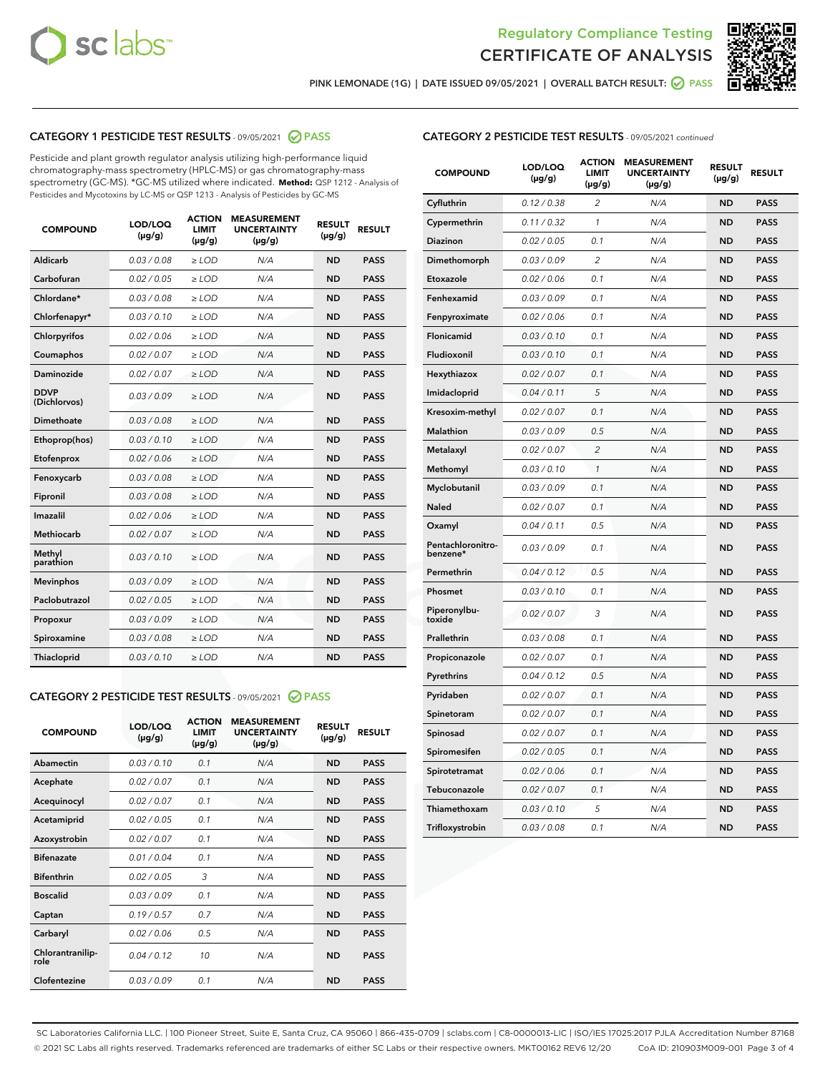



PINK LEMONADE (1G) | DATE ISSUED 09/05/2021 | OVERALL BATCH RESULT:  $\bigotimes$  PASS

## CATEGORY 1 PESTICIDE TEST RESULTS - 09/05/2021 2 PASS

Pesticide and plant growth regulator analysis utilizing high-performance liquid chromatography-mass spectrometry (HPLC-MS) or gas chromatography-mass spectrometry (GC-MS). \*GC-MS utilized where indicated. **Method:** QSP 1212 - Analysis of Pesticides and Mycotoxins by LC-MS or QSP 1213 - Analysis of Pesticides by GC-MS

| <b>COMPOUND</b>             | LOD/LOQ<br>$(\mu g/g)$ | <b>ACTION</b><br><b>LIMIT</b><br>$(\mu g/g)$ | <b>MEASUREMENT</b><br><b>UNCERTAINTY</b><br>$(\mu g/g)$ | <b>RESULT</b><br>$(\mu g/g)$ | <b>RESULT</b> |
|-----------------------------|------------------------|----------------------------------------------|---------------------------------------------------------|------------------------------|---------------|
| Aldicarb                    | 0.03/0.08              | $>$ LOD                                      | N/A                                                     | <b>ND</b>                    | <b>PASS</b>   |
| Carbofuran                  | 0.02 / 0.05            | $\ge$ LOD                                    | N/A                                                     | <b>ND</b>                    | <b>PASS</b>   |
| Chlordane*                  | 0.03 / 0.08            | $\ge$ LOD                                    | N/A                                                     | <b>ND</b>                    | <b>PASS</b>   |
| Chlorfenapyr*               | 0.03/0.10              | $\ge$ LOD                                    | N/A                                                     | <b>ND</b>                    | <b>PASS</b>   |
| Chlorpyrifos                | 0.02 / 0.06            | $\ge$ LOD                                    | N/A                                                     | <b>ND</b>                    | <b>PASS</b>   |
| Coumaphos                   | 0.02 / 0.07            | $\ge$ LOD                                    | N/A                                                     | <b>ND</b>                    | <b>PASS</b>   |
| Daminozide                  | 0.02/0.07              | $>$ LOD                                      | N/A                                                     | <b>ND</b>                    | <b>PASS</b>   |
| <b>DDVP</b><br>(Dichlorvos) | 0.03/0.09              | $\ge$ LOD                                    | N/A                                                     | <b>ND</b>                    | <b>PASS</b>   |
| <b>Dimethoate</b>           | 0.03 / 0.08            | $\ge$ LOD                                    | N/A                                                     | <b>ND</b>                    | <b>PASS</b>   |
| Ethoprop(hos)               | 0.03/0.10              | $\ge$ LOD                                    | N/A                                                     | <b>ND</b>                    | <b>PASS</b>   |
| Etofenprox                  | 0.02 / 0.06            | $\ge$ LOD                                    | N/A                                                     | <b>ND</b>                    | <b>PASS</b>   |
| Fenoxycarb                  | 0.03/0.08              | $\ge$ LOD                                    | N/A                                                     | <b>ND</b>                    | <b>PASS</b>   |
| Fipronil                    | 0.03 / 0.08            | $\ge$ LOD                                    | N/A                                                     | <b>ND</b>                    | <b>PASS</b>   |
| Imazalil                    | 0.02 / 0.06            | $\geq$ LOD                                   | N/A                                                     | <b>ND</b>                    | <b>PASS</b>   |
| Methiocarb                  | 0.02 / 0.07            | $>$ LOD                                      | N/A                                                     | <b>ND</b>                    | <b>PASS</b>   |
| Methyl<br>parathion         | 0.03/0.10              | $\ge$ LOD                                    | N/A                                                     | <b>ND</b>                    | <b>PASS</b>   |
| <b>Mevinphos</b>            | 0.03/0.09              | $\ge$ LOD                                    | N/A                                                     | <b>ND</b>                    | <b>PASS</b>   |
| Paclobutrazol               | 0.02 / 0.05            | $>$ LOD                                      | N/A                                                     | <b>ND</b>                    | <b>PASS</b>   |
| Propoxur                    | 0.03/0.09              | $\ge$ LOD                                    | N/A                                                     | <b>ND</b>                    | <b>PASS</b>   |
| Spiroxamine                 | 0.03 / 0.08            | $\ge$ LOD                                    | N/A                                                     | <b>ND</b>                    | <b>PASS</b>   |
| <b>Thiacloprid</b>          | 0.03/0.10              | $\ge$ LOD                                    | N/A                                                     | <b>ND</b>                    | <b>PASS</b>   |

#### CATEGORY 2 PESTICIDE TEST RESULTS - 09/05/2021 @ PASS

| <b>COMPOUND</b>          | LOD/LOO<br>$(\mu g/g)$ | <b>ACTION</b><br>LIMIT<br>$(\mu g/g)$ | <b>MEASUREMENT</b><br><b>UNCERTAINTY</b><br>$(\mu g/g)$ | <b>RESULT</b><br>$(\mu g/g)$ | <b>RESULT</b> |  |
|--------------------------|------------------------|---------------------------------------|---------------------------------------------------------|------------------------------|---------------|--|
| Abamectin                | 0.03/0.10              | 0.1                                   | N/A                                                     | <b>ND</b>                    | <b>PASS</b>   |  |
| Acephate                 | 0.02/0.07              | 0.1                                   | N/A                                                     | <b>ND</b>                    | <b>PASS</b>   |  |
| Acequinocyl              | 0.02/0.07              | 0.1                                   | N/A                                                     | <b>ND</b>                    | <b>PASS</b>   |  |
| Acetamiprid              | 0.02 / 0.05            | 0.1                                   | N/A                                                     | <b>ND</b>                    | <b>PASS</b>   |  |
| Azoxystrobin             | 0.02/0.07              | 0.1                                   | N/A                                                     | <b>ND</b>                    | <b>PASS</b>   |  |
| <b>Bifenazate</b>        | 0.01 / 0.04            | 0.1                                   | N/A                                                     | <b>ND</b>                    | <b>PASS</b>   |  |
| <b>Bifenthrin</b>        | 0.02/0.05              | 3                                     | N/A                                                     | <b>ND</b>                    | <b>PASS</b>   |  |
| <b>Boscalid</b>          | 0.03/0.09              | 0.1                                   | N/A                                                     | <b>ND</b>                    | <b>PASS</b>   |  |
| Captan                   | 0.19/0.57              | 0.7                                   | N/A                                                     | <b>ND</b>                    | <b>PASS</b>   |  |
| Carbaryl                 | 0.02/0.06              | 0.5                                   | N/A                                                     | <b>ND</b>                    | <b>PASS</b>   |  |
| Chlorantranilip-<br>role | 0.04/0.12              | 10                                    | N/A                                                     | <b>ND</b>                    | <b>PASS</b>   |  |
| Clofentezine             | 0.03/0.09              | 0.1                                   | N/A                                                     | <b>ND</b>                    | <b>PASS</b>   |  |

|  | <b>CATEGORY 2 PESTICIDE TEST RESULTS</b> - 09/05/2021 continued |  |  |  |
|--|-----------------------------------------------------------------|--|--|--|
|--|-----------------------------------------------------------------|--|--|--|

| <b>COMPOUND</b>               | LOD/LOQ<br>(µg/g) | <b>ACTION</b><br>LIMIT<br>$(\mu g/g)$ | <b>MEASUREMENT</b><br><b>UNCERTAINTY</b><br>$(\mu g/g)$ | <b>RESULT</b><br>(µg/g) | <b>RESULT</b> |
|-------------------------------|-------------------|---------------------------------------|---------------------------------------------------------|-------------------------|---------------|
| Cyfluthrin                    | 0.12 / 0.38       | $\overline{2}$                        | N/A                                                     | <b>ND</b>               | <b>PASS</b>   |
| Cypermethrin                  | 0.11 / 0.32       | 1                                     | N/A                                                     | <b>ND</b>               | <b>PASS</b>   |
| Diazinon                      | 0.02 / 0.05       | 0.1                                   | N/A                                                     | ND                      | <b>PASS</b>   |
| Dimethomorph                  | 0.03 / 0.09       | $\overline{\mathcal{L}}$              | N/A                                                     | <b>ND</b>               | <b>PASS</b>   |
| Etoxazole                     | 0.02 / 0.06       | 0.1                                   | N/A                                                     | ND                      | <b>PASS</b>   |
| Fenhexamid                    | 0.03 / 0.09       | 0.1                                   | N/A                                                     | ND                      | <b>PASS</b>   |
| Fenpyroximate                 | 0.02 / 0.06       | 0.1                                   | N/A                                                     | <b>ND</b>               | <b>PASS</b>   |
| Flonicamid                    | 0.03 / 0.10       | 0.1                                   | N/A                                                     | ND                      | <b>PASS</b>   |
| Fludioxonil                   | 0.03 / 0.10       | 0.1                                   | N/A                                                     | ND                      | <b>PASS</b>   |
| Hexythiazox                   | 0.02 / 0.07       | 0.1                                   | N/A                                                     | <b>ND</b>               | <b>PASS</b>   |
| Imidacloprid                  | 0.04 / 0.11       | 5                                     | N/A                                                     | ND                      | <b>PASS</b>   |
| Kresoxim-methyl               | 0.02 / 0.07       | 0.1                                   | N/A                                                     | ND                      | <b>PASS</b>   |
| Malathion                     | 0.03 / 0.09       | 0.5                                   | N/A                                                     | <b>ND</b>               | <b>PASS</b>   |
| Metalaxyl                     | 0.02 / 0.07       | $\overline{c}$                        | N/A                                                     | ND                      | <b>PASS</b>   |
| Methomyl                      | 0.03 / 0.10       | $\mathcal{I}$                         | N/A                                                     | ND                      | <b>PASS</b>   |
| Myclobutanil                  | 0.03 / 0.09       | 0.1                                   | N/A                                                     | <b>ND</b>               | <b>PASS</b>   |
| Naled                         | 0.02 / 0.07       | 0.1                                   | N/A                                                     | <b>ND</b>               | <b>PASS</b>   |
| Oxamyl                        | 0.04 / 0.11       | 0.5                                   | N/A                                                     | ND                      | <b>PASS</b>   |
| Pentachloronitro-<br>benzene* | 0.03 / 0.09       | 0.1                                   | N/A                                                     | ND                      | <b>PASS</b>   |
| Permethrin                    | 0.04 / 0.12       | 0.5                                   | N/A                                                     | <b>ND</b>               | <b>PASS</b>   |
| Phosmet                       | 0.03 / 0.10       | 0.1                                   | N/A                                                     | ND                      | <b>PASS</b>   |
| Piperonylbu-<br>toxide        | 0.02 / 0.07       | 3                                     | N/A                                                     | ND                      | <b>PASS</b>   |
| Prallethrin                   | 0.03 / 0.08       | 0.1                                   | N/A                                                     | <b>ND</b>               | <b>PASS</b>   |
| Propiconazole                 | 0.02 / 0.07       | 0.1                                   | N/A                                                     | <b>ND</b>               | <b>PASS</b>   |
| Pyrethrins                    | 0.04 / 0.12       | 0.5                                   | N/A                                                     | ND                      | <b>PASS</b>   |
| Pyridaben                     | 0.02 / 0.07       | 0.1                                   | N/A                                                     | <b>ND</b>               | <b>PASS</b>   |
| Spinetoram                    | 0.02 / 0.07       | 0.1                                   | N/A                                                     | ND                      | <b>PASS</b>   |
| Spinosad                      | 0.02 / 0.07       | 0.1                                   | N/A                                                     | ND                      | <b>PASS</b>   |
| Spiromesifen                  | 0.02 / 0.05       | 0.1                                   | N/A                                                     | <b>ND</b>               | <b>PASS</b>   |
| Spirotetramat                 | 0.02 / 0.06       | 0.1                                   | N/A                                                     | ND                      | <b>PASS</b>   |
| Tebuconazole                  | 0.02 / 0.07       | 0.1                                   | N/A                                                     | ND                      | <b>PASS</b>   |
| Thiamethoxam                  | 0.03 / 0.10       | 5                                     | N/A                                                     | <b>ND</b>               | <b>PASS</b>   |
| Trifloxystrobin               | 0.03 / 0.08       | 0.1                                   | N/A                                                     | <b>ND</b>               | <b>PASS</b>   |

SC Laboratories California LLC. | 100 Pioneer Street, Suite E, Santa Cruz, CA 95060 | 866-435-0709 | sclabs.com | C8-0000013-LIC | ISO/IES 17025:2017 PJLA Accreditation Number 87168 © 2021 SC Labs all rights reserved. Trademarks referenced are trademarks of either SC Labs or their respective owners. MKT00162 REV6 12/20 CoA ID: 210903M009-001 Page 3 of 4